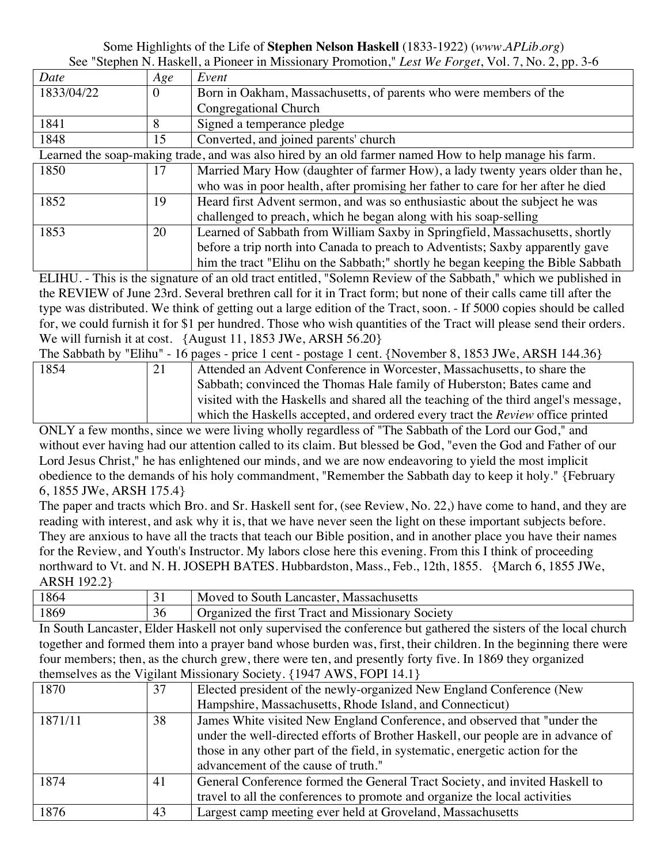## Some Highlights of the Life of **Stephen Nelson Haskell** (1833-1922) (*www.APLib.org*) See "Stephen N. Haskell, a Pioneer in Missionary Promotion," *Lest We Forget*, Vol. 7, No. 2, pp. 3-6

| Date                                                                                                  | Age | Event                                                                            |
|-------------------------------------------------------------------------------------------------------|-----|----------------------------------------------------------------------------------|
| 1833/04/22                                                                                            | 0   | Born in Oakham, Massachusetts, of parents who were members of the                |
|                                                                                                       |     | Congregational Church                                                            |
| 1841                                                                                                  | 8   | Signed a temperance pledge                                                       |
| 1848                                                                                                  | 15  | Converted, and joined parents' church                                            |
| Learned the soap-making trade, and was also hired by an old farmer named How to help manage his farm. |     |                                                                                  |
| 1850                                                                                                  | 17  | Married Mary How (daughter of farmer How), a lady twenty years older than he,    |
|                                                                                                       |     | who was in poor health, after promising her father to care for her after he died |
| 1852                                                                                                  | 19  | Heard first Advent sermon, and was so enthusiastic about the subject he was      |
|                                                                                                       |     | challenged to preach, which he began along with his soap-selling                 |
| 1853                                                                                                  | 20  | Learned of Sabbath from William Saxby in Springfield, Massachusetts, shortly     |
|                                                                                                       |     | before a trip north into Canada to preach to Adventists; Saxby apparently gave   |
|                                                                                                       |     | him the tract "Elihu on the Sabbath;" shortly he began keeping the Bible Sabbath |

ELIHU. - This is the signature of an old tract entitled, "Solemn Review of the Sabbath," which we published in the REVIEW of June 23rd. Several brethren call for it in Tract form; but none of their calls came till after the type was distributed. We think of getting out a large edition of the Tract, soon. - If 5000 copies should be called for, we could furnish it for \$1 per hundred. Those who wish quantities of the Tract will please send their orders. We will furnish it at cost. {August 11, 1853 JWe, ARSH 56.20}

The Sabbath by "Elihu" - 16 pages - price 1 cent - postage 1 cent. {November 8, 1853 JWe, ARSH 144.36}

| 1854 | Attended an Advent Conference in Worcester, Massachusetts, to share the               |
|------|---------------------------------------------------------------------------------------|
|      | Sabbath; convinced the Thomas Hale family of Huberston; Bates came and                |
|      | visited with the Haskells and shared all the teaching of the third angel's message,   |
|      | which the Haskells accepted, and ordered every tract the <i>Review</i> office printed |

ONLY a few months, since we were living wholly regardless of "The Sabbath of the Lord our God," and without ever having had our attention called to its claim. But blessed be God, "even the God and Father of our Lord Jesus Christ," he has enlightened our minds, and we are now endeavoring to yield the most implicit obedience to the demands of his holy commandment, "Remember the Sabbath day to keep it holy." {February 6, 1855 JWe, ARSH 175.4}

The paper and tracts which Bro. and Sr. Haskell sent for, (see Review, No. 22,) have come to hand, and they are reading with interest, and ask why it is, that we have never seen the light on these important subjects before. They are anxious to have all the tracts that teach our Bible position, and in another place you have their names for the Review, and Youth's Instructor. My labors close here this evening. From this I think of proceeding northward to Vt. and N. H. JOSEPH BATES. Hubbardston, Mass., Feb., 12th, 1855. {March 6, 1855 JWe, ARSH 192.2}

| 1864 | Moved to South Lancaster, Massachusetts           |
|------|---------------------------------------------------|
| 1869 | 'Organized the first Tract and Missionary Society |

In South Lancaster, Elder Haskell not only supervised the conference but gathered the sisters of the local church together and formed them into a prayer band whose burden was, first, their children. In the beginning there were four members; then, as the church grew, there were ten, and presently forty five. In 1869 they organized themselves as the Vigilant Missionary Society. {1947 AWS, FOPI 14.1}

| 1870    | 37 | Elected president of the newly-organized New England Conference (New                                                                                                                                                                                                                 |
|---------|----|--------------------------------------------------------------------------------------------------------------------------------------------------------------------------------------------------------------------------------------------------------------------------------------|
|         |    | Hampshire, Massachusetts, Rhode Island, and Connecticut)                                                                                                                                                                                                                             |
| 1871/11 | 38 | James White visited New England Conference, and observed that "under the<br>under the well-directed efforts of Brother Haskell, our people are in advance of<br>those in any other part of the field, in systematic, energetic action for the<br>advancement of the cause of truth." |
| 1874    | 41 | General Conference formed the General Tract Society, and invited Haskell to<br>travel to all the conferences to promote and organize the local activities                                                                                                                            |
| 1876    | 43 | Largest camp meeting ever held at Groveland, Massachusetts                                                                                                                                                                                                                           |